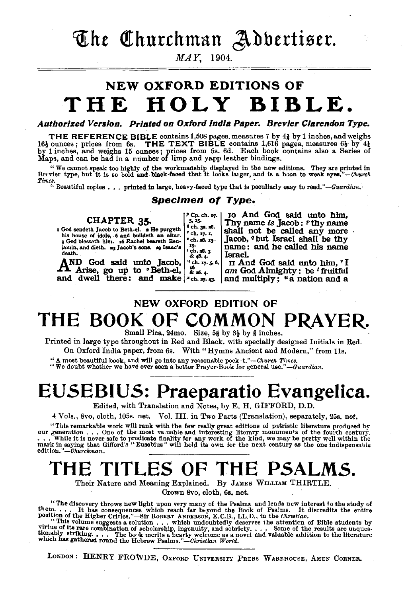The Churchman Adbertiser.

MAY, 1904.

## NEW OXFORD EDITIONS OF **THE HOLY BIBLE.**

Authorized Version. Printed on Oxford India Paper. Brevier Clarendon Type.

THE REFERENCE BIBLE contains 1,508 pages, measures 7 by  $4\frac{1}{2}$  by 1 inches, and weighs 16*i* ounces; prices from 6s. THE TEXT BIBLE contains 1,616 pages, measures  $6\frac{1}{2}$  by 4*i* by 1 inches, and weighs 15 ounces;

" We cannot speak too highly of the workmanship displayed in the new editions. They are printed in Brevier type, but it is go bold and black-faced that it looks larger, and is a boon to weak eyes."—*Church* Br<vier type, but it is *to* bold and black·faced that it looks latger, and is a boon to weak eyes."-Uhurck *Times.* · '·Beautiful copies .•. printed in large, heavy.faced type that is peculiarly easy to read."-IJuardian.·

### Specimen of Type.

 $9ch. 32. 28.$ <br> $7ch. 17. 1.$  $r$ ch. a8.  $x_3$ -  $x_0$ .

*•6*   $\ddot{\mathbf{a}}$  as. 4.

| CHAPTER 35. |  |  |  |
|-------------|--|--|--|
|             |  |  |  |

CHAPTER 35.<br>
tis house of idols, 6 and bulldeth an altar.<br>
his house of idols, 6 and bulldeth an altar.<br>
9 God blesseth him. z6 Rachel beareth Benjamin, and dieth. a3 Jacob's sons. ap Isaac's death.

AND God said unto Jacob, .<br>A Arise, go up to • Beth-el, and dwell there: and make <sup>x</sup>ch. *m*, 43· <sup>t</sup>ch. aS. 3 &48·4·

 $P_{5}^{p}C_{p.}$ ch.  $x7.$ 10 And God said unto him, Thy name *is* **Jacob: P thy name**<br>shall not be called any more<br>Jacob, <sup>*q*</sup> but Israel shall be thy<br>name: and he called his name<br>Israel.

<sup>\*</sup> ch. 17. 5, 6, II And God said unto him,  $rI$  am God Almighty : be  $t$  fruitful and multiply; "a nation and a

## NEW OXFORD EDITION OF THE BOOK OF COMMON PRAYER.

Small Pica, 24mo. Size, 5§ by  $3\frac{1}{2}$  by § inches.

Printed in large type throughout in Red and Black, with specially designed Initials in Red. On Oxford India paper, from 6s. With "Hymns Ancient and Modern," from 11s.

"A most beautiful book and will go Into any re•sonable *pock-t."-Uhurch Times.* "We doubt whether we have ever seen a better Prayer·Bouk for general *use."-Guardian.* 

## EUSEBIUS: Praeparatio Evangelica.

Edited, with Translation and Notes, by E. H. GIFFORD, D.D.

4 Vols., Svo, cloth, 105s. net. Vol. III. in Two Parts (Translation), separately, 25s. net.

"This remarkable work will rank with the few really great editions of patristic literature produced by<br>our generation . . . One of the most va uable and interesting literary monumen's of the fourth century.<br>. . . While it mark in saying that Gifford's "Eusebius" will hold its own for the next century as the one indispensable edition." *-Churchman*.

## THE TITLES OF THE PSALMS.

Their Nature and Meaning Explained. By JAMES WILLIAM THIRTLE.

Crown Svo, cloth, 6s, net.

"The discovery throws new light upon very many of the Psalms, and lends new interest to the study of<br>them... It has consequences which reach far beyond the Book of Psalms. It discredits the entire<br>position of the Higher Cr

tionably striking. . . . The bo<sub>'</sub>k merits a hearty welcome as a novel and valuable addition to the literature which has gathered round the Hebrew *Psalms."-Christian World.* 

LONDON: HENRY FROWDE, OXFORD UNIVERSITY PRESS WAREHOUSE, AMEN CORNER.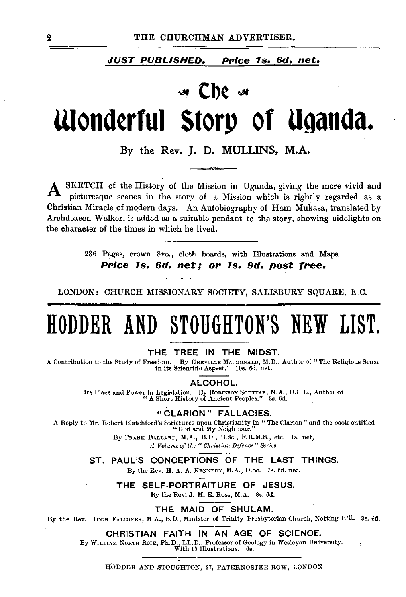### JUST PUBLISHED. PPice 1s. 6d. net.

# <sup>~</sup>**Cb¢** <sup>~</sup> wond~rful **Story or Uganda.**

By the Rev. J. D. MULLINS, M.A.

SKETCH of the History of the Mission in Uganda, giving the more vivid and picturesque scenes in the story of a Mission which is rightly regarded as a Christian Miracle of modern days. An Autobiography of Ham Mukasa, translated by Archdeacon Walker, is added as a suitable pendant to the story, showing sidelights on the character of the times in which he lived.

> 236 Pages, crown Svo., cloth boards, with Illustrations and Maps. Price 1s. 6d. net; or 1s. 9d. post free.

LONDON: CHURCH MISSIONARY SOCIETY, SALISBURY SQUARE, L.C.

# HODDER AND STOUGHTON'S NEW LIST.

### THE TREE IN THE MIDST.

A Contribution to the Study of Freedom. By GREVILLE MACDONALD, M.D., Author of" The Religious Sense in its Scientific Aspect." lOs. 6d. net.

ALCOHOL

Its Place and Power in Legislation. By ROBINSON SOUTTAR, M.A., D.C.L., Author of " A Short History of Ancient Peoples." 3s. 6d.

"CLARION" FALLACIES.

A Reply to Mr. Robert Blatchford's Strictures upon Christianity in " The Clarion " and the book entitled "God and My Neighbour."

By FRANK BALLARD, M.A., B.D., B.Sc., F.R.M.H., etc. ls. net, *A Volume of the "Christian Defence" Series.* 

ST. PAUL'S CONCEPTIONS OF THE LAST THINGS.

By the Rev. H. A. A. KENNEDY, M.A., D.Sc. 7s. 6d. net.

THE SELF-PORTRAITURE OF JESUS.

By the Rev. J. M. E. Ross, M.A. 3s. 6d.

THE MAID OF SHULAM.

By the Rev. HUGH FALCONER, M.A., B.D., Minister of Trinity Presbyterian Church, Notting H'll. 3s. 6d.

### CHRISTIAN FAITH IN AN AGE OF SCIENCE.

By WILLIAM NoRTH RICE, Ph.D., LL.D., Professor of Geology in Wesleyan University. With 15 lllustrations. 6s.

HODDER AND STOUGHTON, 27, PATERNOSTER ROW, LOKDOX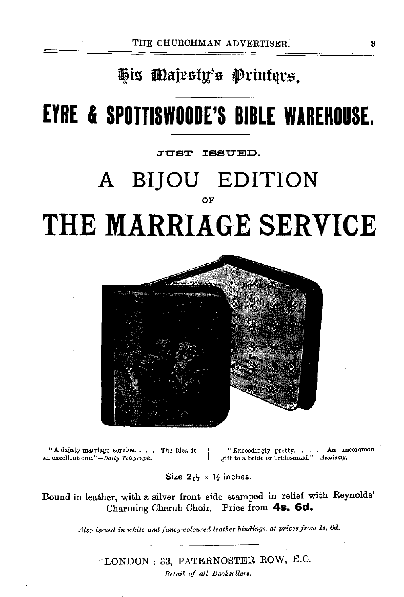## His Majesty's Printers.

# **EYRE & SPOTTISWOODE'S BIBLE WAREHOUSE.**

JUST ISSUED.

## **A BI]OU EDITION**  OF **THE MARRIAGE SERVICE**



"A dainty marriage service. . . . The idea is an excellent one."-Daily Telegraph.

The idea is  $\begin{cases} \text{``Exceedingly pretty. . . . An uncommon} \\ \text{gitt to a bridge or bridgesmail.'—*deademy*.$ 

Size  $2\frac{3}{16} \times 1\frac{7}{8}$  inches.

Bound in leather, with a silver front side stamped in relief with Reynolds' Charming Cherub Choir. Price from **4s. 6d.** 

*Also issued in white and fancy-coloured leather bindings, at prices from 1s. 6d.*  $\overline{\phantom{a}}$ 

LONDON: 33, PATERNOSTER ROW, E.C.

*Retail* of *all Booksellers.*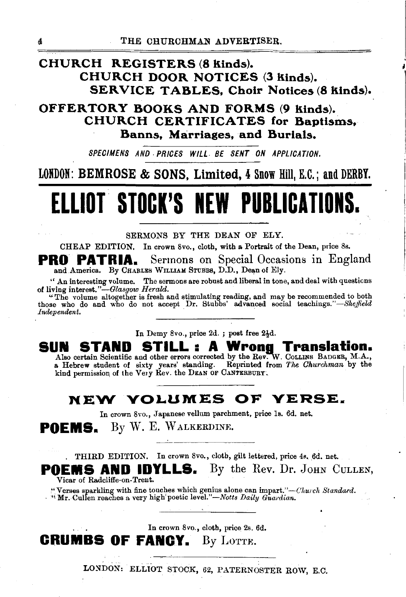## **CHURCH REGISTERS (8 kinds). CHURCH DOOR NOTICES (3 kinds). SERVICE TABLES, Choir Notices (8 kinds).**

**OFFERTORY BOOKS AND FORMS (9 kinds). CHURCH CERTIFICATES for Baptisms, Banns, Marriages, and Burials.** 

*SPECIMENS AND. PRICES WILL BE SENT ON APPLICATION.* 

**LONDON: BEMROSE & SONS, Limited, 4 Snow Hill, E.C.; and DERBY.** 

# **ELLIOT. STOCK'S NEW PUBLICATIONS.**

SERMONS BY THE DEAN OF ELY.

CHEAP EDITION. In crown Svo., cloth, with a Portrait of the Dean, ptice Ss.

**PRO PATRIA.** Sermons on Special Occasions in England and America. By CHARLES WILLIAM STUBBS, D.D., Dean of Ely.

" An interesting volume. The sermons are robust and liberal in tone, and deal with questions

of living interest."—Glasgow *Herald.*<br>
"The volume altogether is fresh and stimulating reading, and may be recommended to both<br>
those who do and who do not accept Dr. Stubbs' advanced social teachings."—Sheffield *Independent.* ·

In Demy 8vo., price 2d. ; post free  $2\frac{1}{2}d$ .

JN STAND STILL : A Wrong Translation.<br>Also certain Scientific and other errors corrected by the Rev. W. CoLLINS BADGER, M.A., SUN

a Hebrew student of sixty years' standing. Reprinted from *The Churchman* by the kind permission of the Very Rev. the DEAN OF CANTERBUBY.

## **NEW VOLUMES OF VERSE.**

In crown Svo., Japanese vellum parchment, price ls. 6d. net.

POEMS. By W. E. WALKERDINE.

. THIRD EDITION. In crown Svo., cloth, gilt lettered, price 4s. 6d. net.

**POEMS AND IDYLLS.** By the Rev. Dr. JOHN CULLEN, Vicar of Radcliffe-on-Trent.

,"Verses sparkling with fine touches which genius alone can *impart."-Church Standard.* · ''' Mr.·Cullen reaches a very high' poetic *level."-Notts Daily Guardian.* 

In crown Svo., cloth, price 2s. 6d. **CRUMBS OF FANCY.** By LOTTE.

LONDON: ELLIOT STOCK, 62, PATERNOSTER ROW, E.C.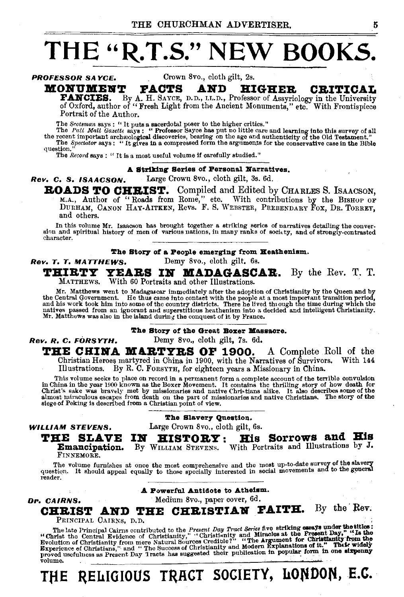# **THE"** R.T.S." NEW **BOOKS.**

**PROFESSOR SAYCE.** Crown 8vo., cloth gilt, 2s.

**MONUMENT FACTS AND HIGHER CRITICAL FANCIES.** By A. H. SAYCE, D.D., LL.D., Professor of Assyriology in the University of Oxford, author of "Fresh Light from the Ancient Monuments," etc. With Frontispiece Portrait of the Author.

The *Srotsman* says : " It puts a sacerdotal poser to the higher critics."

The Pall Mall Gazette says: "Professor Sayce has put no little care and learning into this survey of all<br>the recent important archaeological discoveries, bearing on the age and authenticity of the Old Testament."<br>The Spect question."<br>The *Record* says : " It is a most useful volume if carefully studied."

### A Striking Series of Personal Narratives.

Rev. c. s. ISAACSON. Large Crown Svo., cloth gilt, 3s. 6d.

**ROADS TO CHEIST.** Compiled and Edited by CHARLES S. ISAACSON. M.A., Author of "Roads from Rome," etc. With contributions by the BISHOP of DURHAM, CANON HAY-AITKEN, Revs. F. S. WEBSTER, PREBENDARY FOX, DR. TORREY, and others.

In this volume Mr. Isaacson has brought together a striking series of narratives detailing the conversion and spiritual history of men of various nations, in many ranks of society, and of strongly-contrasted ~haracter.

### The Story of a People emerging from Heathenism.

Rev. T. T. MATTHEWS. Demy 8vo., eloth gilt. 6s.

## THIRTY YEARS IN MADAGASCAR. By the Rev. T. T.

MATTHEws. With 60 Portraits and other Illustrations.

Mr. Matthews went to Madagascar immediately after the adoption of Christianity by the Queen and by<br>the Central Government. He thus came into contact with the people at a most important transition period,<br>and his work took

### The Story of the Great Boxer Massacre.

Rev. R. C. FORSYTH. Demy Svo., cloth gilt, 7s. 6d,

## THE CHINA MARTYRS OF 1900. A Complete Roll of the

Christian Heroes martyred in China in 1900, with the Narratives of Survivors. With 144 Illustrations. By R. C. FoRSYTH, for eighteen years a Missionary in China.

This volume seeks to place on record in a permanent form a complete account of the terrible convulsion<br>in China in the year 1900 known as the Boxer Movement. It contains the thrilling story of how death for<br>Christ's sake w

WILLIAM STEVENS.

Dr. CAIRNS.

### The Slavery Question.

Large Crown Svo., cloth gilt, 6s.

THE SLAVE Emancipation.

HISTORY: His Sorrows and His By WILLIAM STEVENS. With Portraits and Illustrations by J.

FINNEMORE.

The volume furnishes at once the most comprehensive and the most up-to-date survey of the slavery<br>question. It should appeal equally to those specially interested in social movements and to the general<br>residents. reader.

A Powerful Antidote to Atheism.

Medium Svo., paper cover, 6d.

## CHRIST AND THE CHRISTIAN FAITH. By the Rev.

PRINCIPAL CAIRNS, D.D.<br>The late Principal Cairns contributed to the *Present Day Tract Series* five striking essays under the titles:<br>"Christianity in the Central Evidence of Christianity," "Christianity and Miracles at th proved usefulness as Present Day Tracts has suggested their publication in popular form in one sixpenny

## THE RELIGIOUS TRACT SOCIETY, LONDON, E.C.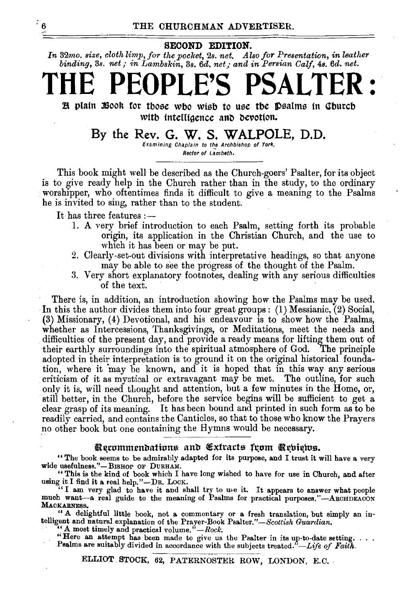### SECOND EDITION.

*In* 32mo. *size, cloth limp, for the pocket,* 2s. *net. Also for Presentation, im leather binding, 3s. net; in Lambskin, 3s. 6d. net; and in Persian Calf, 4s. 6d. net.* 

# **THE PEOPLE'S PSALTER** :

H plain :600k for those who wish to use the psalms in Church with intelligence and devotion.

## By the Rev. G. W. S. WALPOLE, D.D.

Examining Chaplain to th\_e Archbishop of York, Rector of Lambeth.

This book might well be described as the Church-goers' Psalter, for its object is to give ready help in the Church rather than in the study, to the ordinary worshipper, who oftentimes finds it difficult to give a meaning to the Psalms he is invited to sing, rather than to the student.

It has three features :-

- 1. A very brief introduction to each Psalm, setting forth its probable origin, its application in the Christian Church, and the use to which it has been or may be put.
- 2. Clearly-set-out divisions with interpretative headings, so that anyone may be able to see the progress of the thought of the Psalm.
- 3. Very short explanatory footnotes, dealing with any serious difficulties of the text.

There is, in addition, an introduction showing how the Psalms may be used. In this the author divides them into four great groups: (1) Messianic, (2) Social, (3) Missionary, (4) Devotional, and his endeavour is to show how the Psalms, whether as Intercessions, Thanksgivings, or Meditations, meet the needs and difficulties of the present day, and provide a ready means for lifting them out of their earthly surroundings into the spiritual atmosphere of God. The principle adopted in their interpretation is to ground it on the original historical foundation, where it 'may be known, and it is hoped that in this way any serious criticism of it as mystieal or extravagant may be met. The outline, for such only it is, will need thought and attention, but a few minutes in the Home, or, still better, in the Church, before the service begins will be sufficient to get a clear grasp of its meaning. It has been bound and printed in such form as to be readily carried, and contains the Canticles, so that to those who know the Prayers .no other book but one containing the Hymns would be necessary.

### Recommendations and Extracts from Rebiews.

"The book seems to be admirably adapted for its purpose, and I trust it will have a very wide usefulness."- BISHOP OF DURHAM.

"This is the kind of book which I have long wished to have for use in Church, and after

using it I find it a real help."-DR. LocK. "I am very glad to have it and shall try to me it. It appears to answer what people much want-a real guide to the meaning of Psalms for practical purposes."-ARCHDEACON MAOKARNESS.

. "A delightful little book, not a commentary or a fresh translation, but simply an iutelligent and natural explanation of the Prayer-Book Psalter."-Scottish Guardian. <br>
"A most timely and practical volume."-*Rock*.

"Here an attempt has been made to give us the Psalter in its up-to-date setting. . . . Psalms are suitably divided in accordance with the subjects treated."-Life of Faith.

ELLIOT STOCK, 62, PATERNOSTER ROW, LONDON, E.C.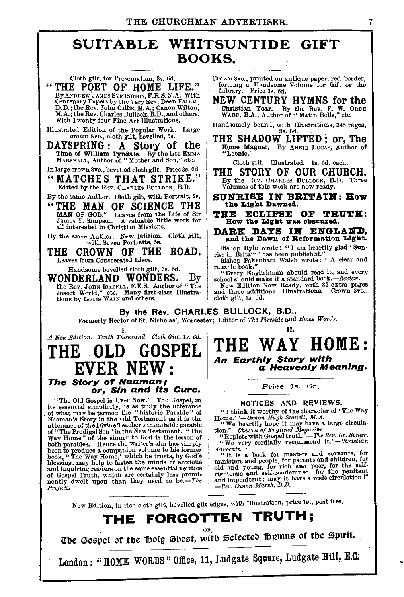## SUIT ABLE WHITSUNTIDE GIFT BOOKS.

Cloth gilt, for Presentation, 3s. 6d.

"THE POET OF HOME LIFE."<br>By ANDREW JAMES SYMINGTON, F.R.S.N.A. With By ANDREW JAMES SYMINGTON, F.R.S.N.A. With<br>Centenary Papers by the Very Rev. Dean Farrar,<br>D.D.; the Rev. John Callis, M.A.; Canon Wilton,<br>M.A.; the Rev. Charles Bullock, B.D., and others.<br>With Twenty-four Fine Art Illustra

Illustrated Edition of the Popular Work. Large crown 8 *vo.,* cloth gilt, bevelled, 5s.

DAYSPRING: A Story of the Time of William Tyndale. By the late EMMA MARSHALL, Author of "Mother and Son," etc.

In large crown Svo., bevelled cloth gilt. Price 3s. 6d,

"MATCHES THAT STRIKE." Edited by the Rev. CHARLES BuLLOCK, B.D.

By the same Author. Cloth gilt, with Portrait, 2s.

"THE MAN OF SCIENCE THE MAN OF GOD." Leaves from the Life of Sir James Y. Simpson. A valuable little work for all interested in Christian Missions.

By the same Author. New Edition. Cloth gilt, with Seven portraits, 5s.

THE CROWN OF THE ROAD. Leaves from Consecrated Lives.

Handsome bevelled cloth gilt, 3s. 6d.<br>WONDERLAND WONDERS. YONDERLAND WONDERS. By the Rev. JOHN ISABELL, F.E.S. Author of "The Insect World," etc. Many first-class Illustra-<br>tions by Louis WAIN and others. Crown 8vo., printed on antique paper, red border, forming a Handsome Volume for Gift or the Library. Price 3s. 6d.

NEW CENTURY HYMNS for the Christian Year. By the Rev. F. W. ORDE WARD, B.A., Author of "Matin Bells," etc.

Handsomely bound, with Illustrations, 346 pages, 3s. 6n.

THE SHADOW LIFTED; or, The Home Magnet. By ANNIE LUCAS, Author of "Leonie."

Cloth gilt. Illustrated. Is. 6d. each.

THE STORY OF OUR CHURCH. By the Rev. CHARLES BuLLOCK, B.D. Three Volumes of this work are now ready.

- SUNRISE IN BRITAIN: How the Light Dawned.
- THE ECLIPSE OF TRUTH: How the Light was obscured.

DARK DAYS IN ENGLAND, and the Dawn of Reformation Light.

Bishop Ryle wrote: "I am heartily glad 'Sun- rise in Britain' has been published." Bishop Pakenham Walsh wrote: "A clear and

reliable book."<br>"Every Englishman sbould read it, and every<br>school sloudd make it a standard book.—*Review*.<br>New Edition Now Ready, with 32 extra pages<br>and three additional Illustrations. Crown 8vo.,<br>cloth gilt, 1s. 6d.

By the Rev. CHARLES BULLOCK, B.D.,

Formerly Rector of St. Nicholas', Worcester; Editor of *1'he Fireside* and *Home Words.* 

I. *A New Edition. Tenth Thousand. Cloth Gilt,* Is. *6d.* 

## GOSPEL NE) The Story of Naaman; or, Sin and Its Cure.

"The Old Gospel is Ever New." The Gospel, in<br>
it's essential simplicity, is as truly the utterance<br>
of what may be termed the "historic Parable" of<br>
Naaman's Story in the Old Testament as it is the<br>
utterance of the Divin nently dwelt upon than they used to *be.-The P>·eface.* 

II. THE WAY HOME: An Earthly Story with a Heavenly Meaning.

### Price 1s. 6d.

NOTICES AND REVIEWS.<br>"I think it worthy of the character of 'The Way "I think it worthy of the character of 'The Way Home.'"-Canon Hugh Stowell, M.A.<br>"We heartily hope it may have a large circula-<br>tion."-Church of England Magazine.

"Replete with Gospel truth."-The *Rev. Dr. Bonar*.<br>"We very cordially recommend it."-Christian

Advocate. "It is a book for masters and servants, for "It is a book for parents and children, for only and young, for rich and poor, for the self-condenned, for the self-condenned, for the pentient righteous and self-cond

New Edition, in rich cloth gilt, bevelled gilt edges, with Illustration, price Is., post free.

## THE FORGOTTEN TRUTH;

The Gospel of the Holy Ghost, with Selected Bymns of the Spirit.

London: "HOME WORDS" Office, 11, Ludgate Square, Ludgate Hill, E.C.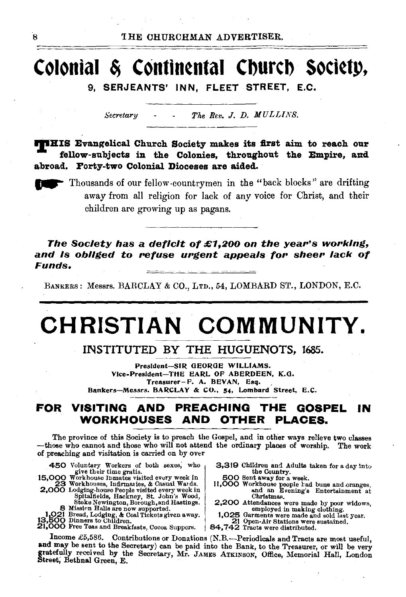# **Colonial** ~ **Contintntal Cburcb soctttp,**

9, SERJEANTS' INN, FLEET STREET, E.C.

*Secretary The Rev.* J. *D. MULLINS.* 

**THIS Evangelical Church Society makes its first aim to reach our** fellow-subjects in the Colonies, throughout the Empire, and abroad. Forty-two Colonial Dioceses are aided.

~ Thousands of our fellow -countrymen in the "back blocks" are drifting away from all religion for lack of any voice for Christ, and their children are growing up as pagans.

The Society has a deficit of £1,200 on the year's working, and is obliged to refuse urgent appeals for sheer lack of Funds.

BANKERS: Messrs. BARCLAY & CO., LTD., 54, LOMBARD ST., LONDON, E.C.

# **CHRISTIAN COMMUNITY.**

INSTITUTED BY THE HUGUENOTS, l685.

President-SIR OEOROE WILLIAMS. Vice-President-THE EARL OP ABERDEEN, K.O. Treasurer-F. A. BEVAN, Esq. Bankers-Messrs. BARCLAY & CO., 54, Lombard Street, E.C.

### **FOR VISITING AND PREACHING THE GOSPEL IN WORKHOUSES AND OTHER PLACES.**

The province of this Society is to preach the Gospel, and in other ways relieve two classes -those who eannot and those who will not attend the ordinary places of worship. The work of preaching and visitation is carried on by over

15,000 Workhouse Inmates visited every week in

8 Mission Halls are now supported. employed in making clothing.

1,021 Bread, Lodging, & Coal Tickets given away. 1,025 Garments were made and sold last year.<br>13,500 Dinners to Children.<br>21,000 Free Teas and Breakfasts, Occoa Suppers. 84,742 Tracts were distributed.

450 Voluntary Workers of both sexes, who 3,319 Children and Adults taken for a day into the Country.<br>OOO Work the give the gratis. the Country. the Country. the Country.

11,000 Workhouse people rad buns and oranges,<br>and an Evening's Entertainment at<br>Christmas. 2,000 Lodging-hou•e People visited every week in .. nd an Evening's Entertainment at Spitalfields, Hackney, St. John's Wood, Christmas.

2,200 Attendances were made by poor widows,<br> $2.200 \times \text{employee of the analysis of the image.}$ 

Income £5,586. Contributions or Donations (N.B.-Periodicals and Tracts are most useful, and may be sent to the Secretary) can be paid into the Bank, to the Treasurer, or will be very gratefully received by the Secretary, Mr. JAMES ATKINSON, Office, Memorial Hall, London<br>Street, Bethnal Green, E.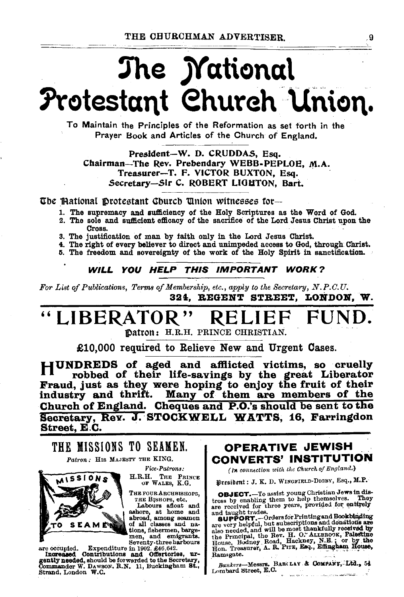# The *Mational* Protestant Church Union.

To Maintain the Principles of the Reformation as set forth in the Prayer Book and Articles of the Church of England,

President-W. D. CRUDDAS, Esq. Chairman-The Rev. Prebendary WEBB-PEPLOE, M.A. Treasurer-T. F. VICTOR BUXTON, Esq. Secretary-Sir C. ROBERT LIGHTON, Bart.

The Mational Protestant Church Union witnesses for-

- 1. The supremacy and sufficiency of the Holy Scriptures as the Word of God.
- 2. The sole and sufficient efficacy of the sacrifice of the Lord Jesus Christ upon the Cross.
- 3. The justification of man by faith only in the Lord Jesus Christ.
- 4. The right of every believer to direct and unimpeded access to God, through Christ.
- 5. The freedom and sovereignty of the work of the Holy Spirit in sanctification.

WILL YOU HELP THIS IMPORTANT WORK?

For List of Publications, Terms of Membership, etc., apply to the Secretary, N.P.C.U. 324. REGENT STREET. LONDON. W.

### "LIBERATOR" RELIE FUN

Datron: H.R.H. PRINCE CHRISTIAN.

£10.000 required to Relieve New and Urgent Cases.

HUNDREDS of aged and afflicted victims, so cruelly robbed of their life-savings by the great Liberator Fraud, just as they were hoping to enjoy the fruit of their<br>industry and thrift. Many of them are members of the Church of England. Cheques and P.O.'s should be sent to the Secretary, Rev. J. STOCKWELL WATTS, 16, Farringdon Street, E.C.

THE MISSIONS TO SEAMEN. Patron: HIS MAJESTY THE KING.

Vice-Patrons:

H.R.H. THE PRINCE OF WALES, K.G.

THE FOUR ARCHBISHOPS, тне Визнора, etc. Labours afloat and



ashore, at home and abroad, among seamen of all classes and na-A METRO tions, fishermen, bargemen, and emigrants.<br>
Expenditure in 1902, £46,642.

are occupied. Expenditure in 1902. £46,642.<br>Increased Contributions and Offertories, urgently needed, should be forwarded to the Secretary,<br>Commander W. Dawson, R.N. 11, Buckingham St., Strand, London W.C.

OPERATIVE JEWISH CONVERTS' INSTITUTION

(In connection with the Church of England.)

President : J. K. D. WINGFIELD-DIGBY, Esq., M.P.

**OBJECT.**-To assist young Christian Jews in distress by enabling them to help themselves. They are received for three years, provided for entirely and taught trades.

and taught trades.<br>
SupPORT. -Ordersfor Printing and Bookbinding<br>
are very helpful, but subscriptions and donations are<br>
also needed, and will be noted thankfully received by<br>
the Frincipal, the Rev. H. O. ALLBROOK, Palest Ramsgate.

Bankers-Messrs. BARCLAY & COMPANY, Ltd., 54 Lombard Street, E.C.

.9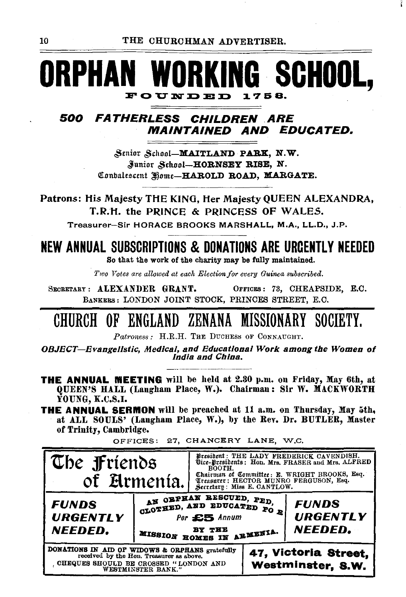THE CHURCHMAN ADVERTISER.

## **ORPHAN WORKING SCHOOL,** FOUNDED 1758.

## 500 FATHERLESS CHILDREN ARE **MAINTAINED AND EDUCATED.**

Senior School-MAITLAND PARK, N.W. Junior School-HORNSEY RISE, N. Conbalescent Home-HAROLD ROAD, MARGATE.

Patrons: His Majesty THE KING, Her Majesty QUEEN ALEXANDRA, T.R.H. the PRINCE & PRINCESS OF WALES.

Treasurer-Sir HORACE BROOKS MARSHALL, M.A., LL.D., J.P.

## **NEW ANNUAL SUBSCRIPTIONS & DONATIONS ARE URGENTLY NEEDED**

So that the work of the charity may be fully maintained.

Two Votes are allowed at each Election for every Guinea subscribed.

SECRETARY: ALEXANDER GRANT. OFFICES: 73, CHEAPSIDE, E.C. BANKERS: LONDON JOINT STOCK, PRINCES STREET, E.C.

## CHURCH OF ENGLAND ZENANA MISSIONARY SOCIETY.

Patroness: H.R.H. THE DUCHESS OF CONNAUGHT.

OBJECT-Evangelistic, Medical, and Educational Work among the Women of India and China.

- **THE ANNUAL WEETING** will be held at 2.30 p.m. on Friday, May 6th, at QUEEN'S HALL (Langham Place, W.). Chairman: Sir W. MACKWORTH **YOUNG, K.C.S.I.**
- **THE ANNUAL SERMON** will be preached at 11 a.m. on Thursday, May 5th, at ALL SOULS' (Langham Place, W.), by the Rev. Dr. BUTLER, Master of Trinity, Cambridge.

OFFICES: 27, CHANCERY LANE, W.C.



10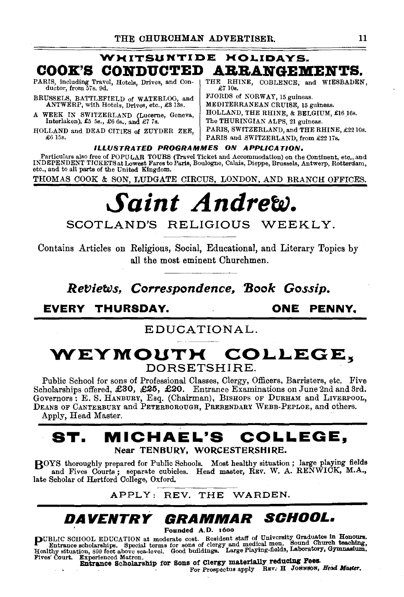## WHITSUNTIDE HOLIDAYS. **COOK'S CONDUCTED ARRANGEMENTS.**

PARIS, including Travel, Hotels, Drives, and Con-<br>ductor, from 57s. 9d.

BRUSSELS, BATTLEFIELD of WATERLOO, and ANTWERP, with Hotels, Drives, etc., £313s.

A WEEK IN SWITZERLAND (Lucerne, Geneva, Interlaken), £5 5s., £6 6s., and £7 7s.

HOLLAND and DEAD CITIES of ZUYDER ZEE, £6 15s.

THE RHINE, COBLENCE, and WIESBADEN,  $\mathcal{L}7 10s$ .

FJORDS of NORWAY, 15 guineas. MEDITERRANEAN CRUISE, 15 guineas. HOLLAND, THE RHINE, & BELGIUM, £16 16s. The THURIKGIAN ALPS, 21 guineas. PARIS, SWITZERLAND, and THE RHINE, £2210s. PARIS and SWITZERLAND, from £2217s.

ILLUSTRATED PROGRAMMES ON APPLICATION,

Particulars also free of POPULAR TOURS (Travel Ticket and Accommodation) on the Continent, etc., and INDEPENDENT TICKETS at Lowest Fares to Paris, Boulogne, Calais, Dieppe, Brussels, Antwerp, Rotterdam, etc., and to all parts of the United Kingdom.

THOMAS COOK & SON, LUDGATE CIRCUS, LONDON, AND BRANCH OFFICES.

# *Saint Andrew.*

SCOTLAND'S RELIGIOUS WEEKLY.

Contains Articles on Religious, Social, Educational, and Literary Topics by all the most eminent Churchmen.

*Ref:Jie'Ws, Correspondence, 'Book Gossip.* 

**EVERY THURSDAY. ONE PENNY.** 

### EDUCATIONAL.

## **WEYMOUTH** COLLEGE~ DORSETSHIRE.

Public School for sons of Professional Classes, Clergy, Officers, Barristers, etc. Five Scholarships offered, £30, £25, £20. Entrance Examinations on June 2nd and 3rd. Governors: E. S. HANBURY, Esq. (Chairman), BISHOPS OF DURHAM and LIVERPOOL, DEANS OF CANTERBURY and PETERBOROUGH, PREBENDARY WEBB-PEPLOE, and others. Apply, Head Master.

## **ST. MICHAEL'S COLLEGE,**  Near TENBURY, WORCESTERSHIRE.

BOYS thoroughly prepared for Public Schools. Most healthy situation; large playing fields and Fives Courts; separate cubicles. Head master, REV. W. A. RENWICK, M.A., late Scholar of Hertford College, Oxford.

### APPLY: REV. THE WARDEN.

## **DAVENTRY GRAMMAR SCHOOL.**

Founded A.D. 1600

PUBLIC SCHOOL EDUCATION at moderate cost. Resident staff of University Graduates in Honours.<br>Entrance scholarships. Special terms for sons of clergy and medical men. Sound Church teaching,<br>Healthy situation, 300 feet above

Fives' Court. Experienced Matron.<br>**Entrance Scholarship for Sons of Clergy materially reducing Fees.**<br>For Prospectus apply REV. H JOHNSON, *Head Master.*